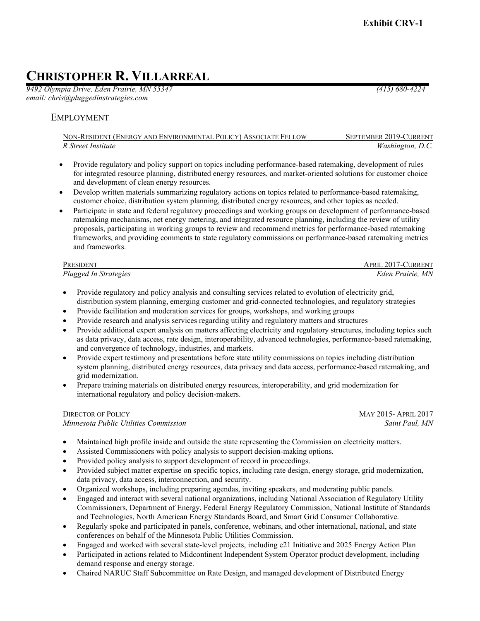# **CHRISTOPHER R. VILLARREAL**

*9492 Olympia Drive, Eden Prairie, MN 55347 (415) 680-4224 email: chris@pluggedinstrategies.com*

# EMPLOYMENT

NON-RESIDENT (ENERGY AND ENVIRONMENTAL POLICY) ASSOCIATE FELLOW SEPTEMBER 2019-CURRENT *R Street Institute Washington, D.C.*

- Provide regulatory and policy support on topics including performance-based ratemaking, development of rules for integrated resource planning, distributed energy resources, and market-oriented solutions for customer choice and development of clean energy resources.
- Develop written materials summarizing regulatory actions on topics related to performance-based ratemaking, customer choice, distribution system planning, distributed energy resources, and other topics as needed.
- Participate in state and federal regulatory proceedings and working groups on development of performance-based ratemaking mechanisms, net energy metering, and integrated resource planning, including the review of utility proposals, participating in working groups to review and recommend metrics for performance-based ratemaking frameworks, and providing comments to state regulatory commissions on performance-based ratemaking metrics and frameworks.

| PRESIDENT             | APRIL 2017-CURRENT |
|-----------------------|--------------------|
| Plugged In Strategies | Eden Prairie, MN   |

- Provide regulatory and policy analysis and consulting services related to evolution of electricity grid, distribution system planning, emerging customer and grid-connected technologies, and regulatory strategies
- Provide facilitation and moderation services for groups, workshops, and working groups
- Provide research and analysis services regarding utility and regulatory matters and structures
- Provide additional expert analysis on matters affecting electricity and regulatory structures, including topics such as data privacy, data access, rate design, interoperability, advanced technologies, performance-based ratemaking, and convergence of technology, industries, and markets.
- Provide expert testimony and presentations before state utility commissions on topics including distribution system planning, distributed energy resources, data privacy and data access, performance-based ratemaking, and grid modernization.
- Prepare training materials on distributed energy resources, interoperability, and grid modernization for international regulatory and policy decision-makers.

| <b>DIRECTOR OF POLICY</b>             | <b>MAY 2015-APRIL 2017</b> |
|---------------------------------------|----------------------------|
| Minnesota Public Utilities Commission | Saint Paul, MN             |

- Maintained high profile inside and outside the state representing the Commission on electricity matters.
- Assisted Commissioners with policy analysis to support decision-making options.
- Provided policy analysis to support development of record in proceedings.
- Provided subject matter expertise on specific topics, including rate design, energy storage, grid modernization, data privacy, data access, interconnection, and security.
- Organized workshops, including preparing agendas, inviting speakers, and moderating public panels.
- Engaged and interact with several national organizations, including National Association of Regulatory Utility Commissioners, Department of Energy, Federal Energy Regulatory Commission, National Institute of Standards and Technologies, North American Energy Standards Board, and Smart Grid Consumer Collaborative.
- Regularly spoke and participated in panels, conference, webinars, and other international, national, and state conferences on behalf of the Minnesota Public Utilities Commission.
- Engaged and worked with several state-level projects, including e21 Initiative and 2025 Energy Action Plan
- Participated in actions related to Midcontinent Independent System Operator product development, including demand response and energy storage.
- Chaired NARUC Staff Subcommittee on Rate Design, and managed development of Distributed Energy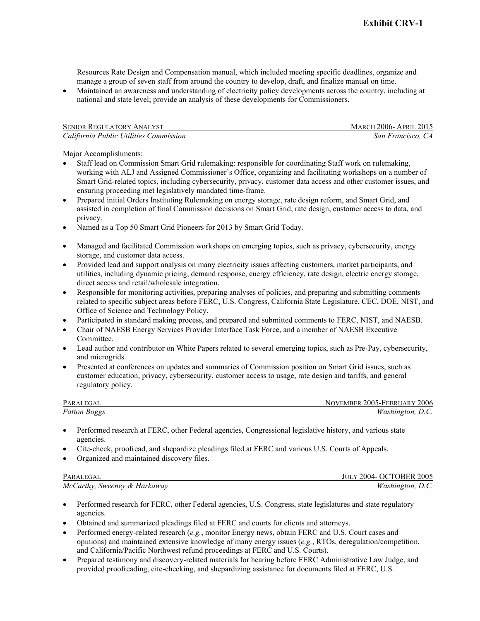Resources Rate Design and Compensation manual, which included meeting specific deadlines, organize and manage a group of seven staff from around the country to develop, draft, and finalize manual on time.

• Maintained an awareness and understanding of electricity policy developments across the country, including at national and state level; provide an analysis of these developments for Commissioners.

| <b>SENIOR REGULATORY ANALYST</b>       | <b>MARCH 2006- APRIL 2015</b> |
|----------------------------------------|-------------------------------|
| California Public Utilities Commission | San Francisco, CA             |

Major Accomplishments:

- Staff lead on Commission Smart Grid rulemaking: responsible for coordinating Staff work on rulemaking, working with ALJ and Assigned Commissioner's Office, organizing and facilitating workshops on a number of Smart Grid-related topics, including cybersecurity, privacy, customer data access and other customer issues, and ensuring proceeding met legislatively mandated time-frame.
- Prepared initial Orders Instituting Rulemaking on energy storage, rate design reform, and Smart Grid, and assisted in completion of final Commission decisions on Smart Grid, rate design, customer access to data, and privacy.
- Named as a Top 50 Smart Grid Pioneers for 2013 by Smart Grid Today.
- Managed and facilitated Commission workshops on emerging topics, such as privacy, cybersecurity, energy storage, and customer data access.
- Provided lead and support analysis on many electricity issues affecting customers, market participants, and utilities, including dynamic pricing, demand response, energy efficiency, rate design, electric energy storage, direct access and retail/wholesale integration.
- Responsible for monitoring activities, preparing analyses of policies, and preparing and submitting comments related to specific subject areas before FERC, U.S. Congress, California State Legislature, CEC, DOE, NIST, and Office of Science and Technology Policy.
- Participated in standard making process, and prepared and submitted comments to FERC, NIST, and NAESB.
- Chair of NAESB Energy Services Provider Interface Task Force, and a member of NAESB Executive Committee.
- Lead author and contributor on White Papers related to several emerging topics, such as Pre-Pay, cybersecurity, and microgrids.
- Presented at conferences on updates and summaries of Commission position on Smart Grid issues, such as customer education, privacy, cybersecurity, customer access to usage, rate design and tariffs, and general regulatory policy.

| PARALEGAL           | NOVEMBER 2005-FEBRUARY 2006 |
|---------------------|-----------------------------|
| <b>Patton Boggs</b> | <i>Washington, D.C.</i>     |

- Performed research at FERC, other Federal agencies, Congressional legislative history, and various state agencies.
- Cite-check, proofread, and shepardize pleadings filed at FERC and various U.S. Courts of Appeals.
- Organized and maintained discovery files.

| PARALEGAL                    | JULY 2004- OCTOBER 2005 |
|------------------------------|-------------------------|
| McCarthy, Sweeney & Harkaway | <i>Washington, D.C.</i> |

- Performed research for FERC, other Federal agencies, U.S. Congress, state legislatures and state regulatory agencies.
- Obtained and summarized pleadings filed at FERC and courts for clients and attorneys.
- Performed energy-related research (*e.g.*, monitor Energy news, obtain FERC and U.S. Court cases and opinions) and maintained extensive knowledge of many energy issues (*e.g.*, RTOs, deregulation/competition, and California/Pacific Northwest refund proceedings at FERC and U.S. Courts).
- Prepared testimony and discovery-related materials for hearing before FERC Administrative Law Judge, and provided proofreading, cite-checking, and shepardizing assistance for documents filed at FERC, U.S.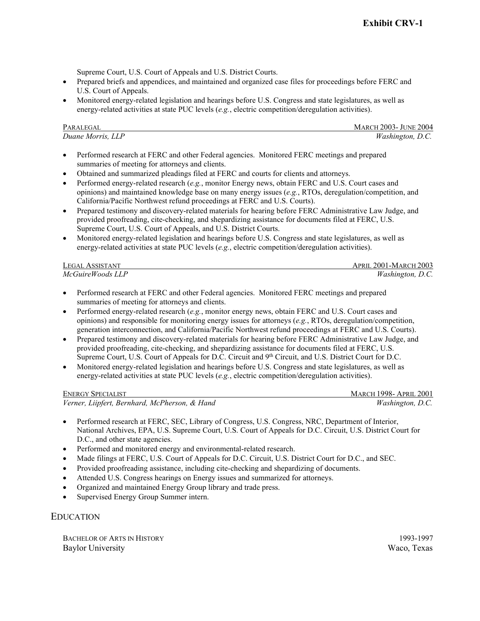Supreme Court, U.S. Court of Appeals and U.S. District Courts.

- Prepared briefs and appendices, and maintained and organized case files for proceedings before FERC and U.S. Court of Appeals.
- Monitored energy-related legislation and hearings before U.S. Congress and state legislatures, as well as energy-related activities at state PUC levels (*e.g.*, electric competition/deregulation activities).

| PARALEGAL         | <b>MARCH 2003- JUNE 2004</b> |
|-------------------|------------------------------|
| Duane Morris, LLP | Washington, D.C.             |

- Performed research at FERC and other Federal agencies. Monitored FERC meetings and prepared summaries of meeting for attorneys and clients.
- Obtained and summarized pleadings filed at FERC and courts for clients and attorneys.
- Performed energy-related research (*e.g.*, monitor Energy news, obtain FERC and U.S. Court cases and opinions) and maintained knowledge base on many energy issues (*e.g.*, RTOs, deregulation/competition, and California/Pacific Northwest refund proceedings at FERC and U.S. Courts).
- Prepared testimony and discovery-related materials for hearing before FERC Administrative Law Judge, and provided proofreading, cite-checking, and shepardizing assistance for documents filed at FERC, U.S. Supreme Court, U.S. Court of Appeals, and U.S. District Courts.
- Monitored energy-related legislation and hearings before U.S. Congress and state legislatures, as well as energy-related activities at state PUC levels (*e.g.*, electric competition/deregulation activities).

| <b>LEGAL ASSISTANT</b> | <b>APRIL 2001-MARCH 2003</b> |
|------------------------|------------------------------|
| McGuireWoods LLP       | <i>Washington, D.C.</i>      |

- Performed research at FERC and other Federal agencies. Monitored FERC meetings and prepared summaries of meeting for attorneys and clients.
- Performed energy-related research (*e.g.*, monitor energy news, obtain FERC and U.S. Court cases and opinions) and responsible for monitoring energy issues for attorneys (*e.g.*, RTOs, deregulation/competition, generation interconnection, and California/Pacific Northwest refund proceedings at FERC and U.S. Courts).
- Prepared testimony and discovery-related materials for hearing before FERC Administrative Law Judge, and provided proofreading, cite-checking, and shepardizing assistance for documents filed at FERC, U.S. Supreme Court, U.S. Court of Appeals for D.C. Circuit and 9<sup>th</sup> Circuit, and U.S. District Court for D.C.
- Monitored energy-related legislation and hearings before U.S. Congress and state legislatures, as well as energy-related activities at state PUC levels (*e.g.*, electric competition/deregulation activities).

| <b>ENERGY SPECIALIST</b>                      | <b>MARCH 1998- APRIL 2001</b> |
|-----------------------------------------------|-------------------------------|
| Verner, Liipfert, Bernhard, McPherson, & Hand | <i>Washington, D.C.</i>       |

- Performed research at FERC, SEC, Library of Congress, U.S. Congress, NRC, Department of Interior, National Archives, EPA, U.S. Supreme Court, U.S. Court of Appeals for D.C. Circuit, U.S. District Court for D.C., and other state agencies.
- Performed and monitored energy and environmental-related research.
- Made filings at FERC, U.S. Court of Appeals for D.C. Circuit, U.S. District Court for D.C., and SEC.
- Provided proofreading assistance, including cite-checking and shepardizing of documents.
- Attended U.S. Congress hearings on Energy issues and summarized for attorneys.
- Organized and maintained Energy Group library and trade press.
- Supervised Energy Group Summer intern.

EDUCATION

BACHELOR OF ARTS IN HISTORY 1993-1997 Baylor University Waco, Texas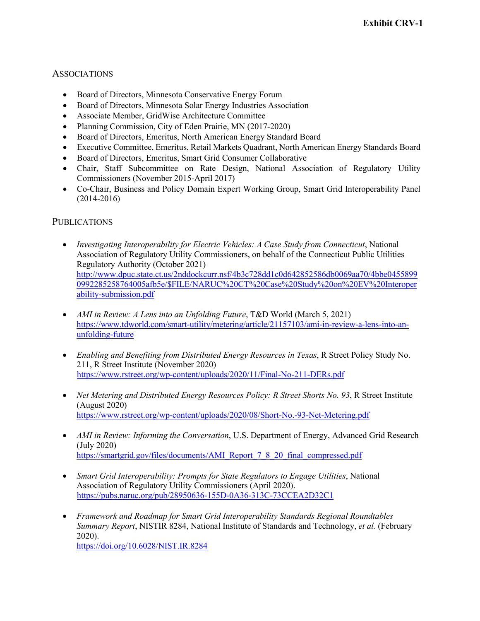### **ASSOCIATIONS**

- Board of Directors, Minnesota Conservative Energy Forum
- Board of Directors, Minnesota Solar Energy Industries Association
- Associate Member, GridWise Architecture Committee
- Planning Commission, City of Eden Prairie, MN (2017-2020)
- Board of Directors, Emeritus, North American Energy Standard Board
- Executive Committee, Emeritus, Retail Markets Quadrant, North American Energy Standards Board
- Board of Directors, Emeritus, Smart Grid Consumer Collaborative
- Chair, Staff Subcommittee on Rate Design, National Association of Regulatory Utility Commissioners (November 2015-April 2017)
- Co-Chair, Business and Policy Domain Expert Working Group, Smart Grid Interoperability Panel (2014-2016)

# **PUBLICATIONS**

- *Investigating Interoperability for Electric Vehicles: A Case Study from Connecticut*, National Association of Regulatory Utility Commissioners, on behalf of the Connecticut Public Utilities Regulatory Authority (October 2021) [http://www.dpuc.state.ct.us/2nddockcurr.nsf/4b3c728dd1c0d642852586db0069aa70/4bbe0455899](http://www.dpuc.state.ct.us/2nddockcurr.nsf/4b3c728dd1c0d642852586db0069aa70/4bbe04558990992285258764005afb5e/$FILE/NARUC%20CT%20Case%20Study%20on%20EV%20Interoperability-submission.pdf) [0992285258764005afb5e/\\$FILE/NARUC%20CT%20Case%20Study%20on%20EV%20Interoper](http://www.dpuc.state.ct.us/2nddockcurr.nsf/4b3c728dd1c0d642852586db0069aa70/4bbe04558990992285258764005afb5e/$FILE/NARUC%20CT%20Case%20Study%20on%20EV%20Interoperability-submission.pdf) [ability-submission.pdf](http://www.dpuc.state.ct.us/2nddockcurr.nsf/4b3c728dd1c0d642852586db0069aa70/4bbe04558990992285258764005afb5e/$FILE/NARUC%20CT%20Case%20Study%20on%20EV%20Interoperability-submission.pdf)
- *AMI in Review: A Lens into an Unfolding Future*, T&D World (March 5, 2021) [https://www.tdworld.com/smart-utility/metering/article/21157103/ami-in-review-a-lens-into-an](https://www.tdworld.com/smart-utility/metering/article/21157103/ami-in-review-a-lens-into-an-unfolding-future)[unfolding-future](https://www.tdworld.com/smart-utility/metering/article/21157103/ami-in-review-a-lens-into-an-unfolding-future)
- *Enabling and Benefiting from Distributed Energy Resources in Texas*, R Street Policy Study No. 211, R Street Institute (November 2020) <https://www.rstreet.org/wp-content/uploads/2020/11/Final-No-211-DERs.pdf>
- *Net Metering and Distributed Energy Resources Policy: R Street Shorts No.* 93, R Street Institute (August 2020) <https://www.rstreet.org/wp-content/uploads/2020/08/Short-No.-93-Net-Metering.pdf>
- *AMI in Review: Informing the Conversation*, U.S. Department of Energy, Advanced Grid Research (July 2020) [https://smartgrid.gov/files/documents/AMI\\_Report\\_7\\_8\\_20\\_final\\_compressed.pdf](https://smartgrid.gov/files/documents/AMI_Report_7_8_20_final_compressed.pdf)
- *Smart Grid Interoperability: Prompts for State Regulators to Engage Utilities*, National Association of Regulatory Utility Commissioners (April 2020). <https://pubs.naruc.org/pub/28950636-155D-0A36-313C-73CCEA2D32C1>
- *Framework and Roadmap for Smart Grid Interoperability Standards Regional Roundtables Summary Report*, NISTIR 8284, National Institute of Standards and Technology, *et al.* (February 2020). <https://doi.org/10.6028/NIST.IR.8284>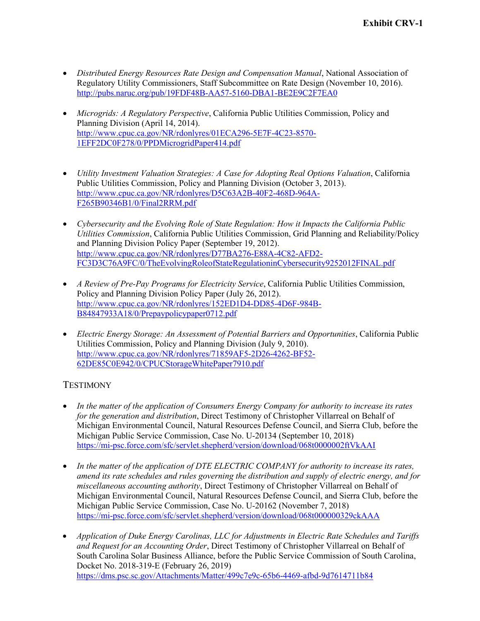- *Distributed Energy Resources Rate Design and Compensation Manual*, National Association of Regulatory Utility Commissioners, Staff Subcommittee on Rate Design (November 10, 2016). <http://pubs.naruc.org/pub/19FDF48B-AA57-5160-DBA1-BE2E9C2F7EA0>
- *Microgrids: A Regulatory Perspective*, California Public Utilities Commission, Policy and Planning Division (April 14, 2014). [http://www.cpuc.ca.gov/NR/rdonlyres/01ECA296-5E7F-4C23-8570-](http://www.cpuc.ca.gov/NR/rdonlyres/01ECA296-5E7F-4C23-8570-1EFF2DC0F278/0/PPDMicrogridPaper414.pdf) [1EFF2DC0F278/0/PPDMicrogridPaper414.pdf](http://www.cpuc.ca.gov/NR/rdonlyres/01ECA296-5E7F-4C23-8570-1EFF2DC0F278/0/PPDMicrogridPaper414.pdf)
- *Utility Investment Valuation Strategies: A Case for Adopting Real Options Valuation*, California Public Utilities Commission, Policy and Planning Division (October 3, 2013). [http://www.cpuc.ca.gov/NR/rdonlyres/D5C63A2B-40F2-468D-964A-](http://www.cpuc.ca.gov/NR/rdonlyres/D5C63A2B-40F2-468D-964A-F265B90346B1/0/Final2RRM.pdf)[F265B90346B1/0/Final2RRM.pdf](http://www.cpuc.ca.gov/NR/rdonlyres/D5C63A2B-40F2-468D-964A-F265B90346B1/0/Final2RRM.pdf)
- *Cybersecurity and the Evolving Role of State Regulation: How it Impacts the California Public Utilities Commission*, California Public Utilities Commission, Grid Planning and Reliability/Policy and Planning Division Policy Paper (September 19, 2012). [http://www.cpuc.ca.gov/NR/rdonlyres/D77BA276-E88A-4C82-AFD2-](http://www.cpuc.ca.gov/NR/rdonlyres/D77BA276-E88A-4C82-AFD2-FC3D3C76A9FC/0/TheEvolvingRoleofStateRegulationinCybersecurity9252012FINAL.pdf) [FC3D3C76A9FC/0/TheEvolvingRoleofStateRegulationinCybersecurity9252012FINAL.pdf](http://www.cpuc.ca.gov/NR/rdonlyres/D77BA276-E88A-4C82-AFD2-FC3D3C76A9FC/0/TheEvolvingRoleofStateRegulationinCybersecurity9252012FINAL.pdf)
- *A Review of Pre-Pay Programs for Electricity Service*, California Public Utilities Commission, Policy and Planning Division Policy Paper (July 26, 2012). [http://www.cpuc.ca.gov/NR/rdonlyres/152ED1D4-DD85-4D6F-984B-](http://www.cpuc.ca.gov/NR/rdonlyres/152ED1D4-DD85-4D6F-984B-B84847933A18/0/Prepaypolicypaper0712.pdf)[B84847933A18/0/Prepaypolicypaper0712.pdf](http://www.cpuc.ca.gov/NR/rdonlyres/152ED1D4-DD85-4D6F-984B-B84847933A18/0/Prepaypolicypaper0712.pdf)
- *Electric Energy Storage: An Assessment of Potential Barriers and Opportunities*, California Public Utilities Commission, Policy and Planning Division (July 9, 2010). [http://www.cpuc.ca.gov/NR/rdonlyres/71859AF5-2D26-4262-BF52-](http://www.cpuc.ca.gov/NR/rdonlyres/71859AF5-2D26-4262-BF52-62DE85C0E942/0/CPUCStorageWhitePaper7910.pdf) [62DE85C0E942/0/CPUCStorageWhitePaper7910.pdf](http://www.cpuc.ca.gov/NR/rdonlyres/71859AF5-2D26-4262-BF52-62DE85C0E942/0/CPUCStorageWhitePaper7910.pdf)

# **TESTIMONY**

- *In the matter of the application of Consumers Energy Company for authority to increase its rates for the generation and distribution*, Direct Testimony of Christopher Villarreal on Behalf of Michigan Environmental Council, Natural Resources Defense Council, and Sierra Club, before the Michigan Public Service Commission, Case No. U-20134 (September 10, 2018) <https://mi-psc.force.com/sfc/servlet.shepherd/version/download/068t0000002ftVkAAI>
- *In the matter of the application of DTE ELECTRIC COMPANY for authority to increase its rates, amend its rate schedules and rules governing the distribution and supply of electric energy, and for miscellaneous accounting authority*, Direct Testimony of Christopher Villarreal on Behalf of Michigan Environmental Council, Natural Resources Defense Council, and Sierra Club, before the Michigan Public Service Commission, Case No. U-20162 (November 7, 2018) <https://mi-psc.force.com/sfc/servlet.shepherd/version/download/068t000000329ckAAA>
- *Application of Duke Energy Carolinas, LLC for Adjustments in Electric Rate Schedules and Tariffs and Request for an Accounting Order*, Direct Testimony of Christopher Villarreal on Behalf of South Carolina Solar Business Alliance, before the Public Service Commission of South Carolina, Docket No. 2018-319-E (February 26, 2019) <https://dms.psc.sc.gov/Attachments/Matter/499c7e9c-65b6-4469-afbd-9d7614711b84>